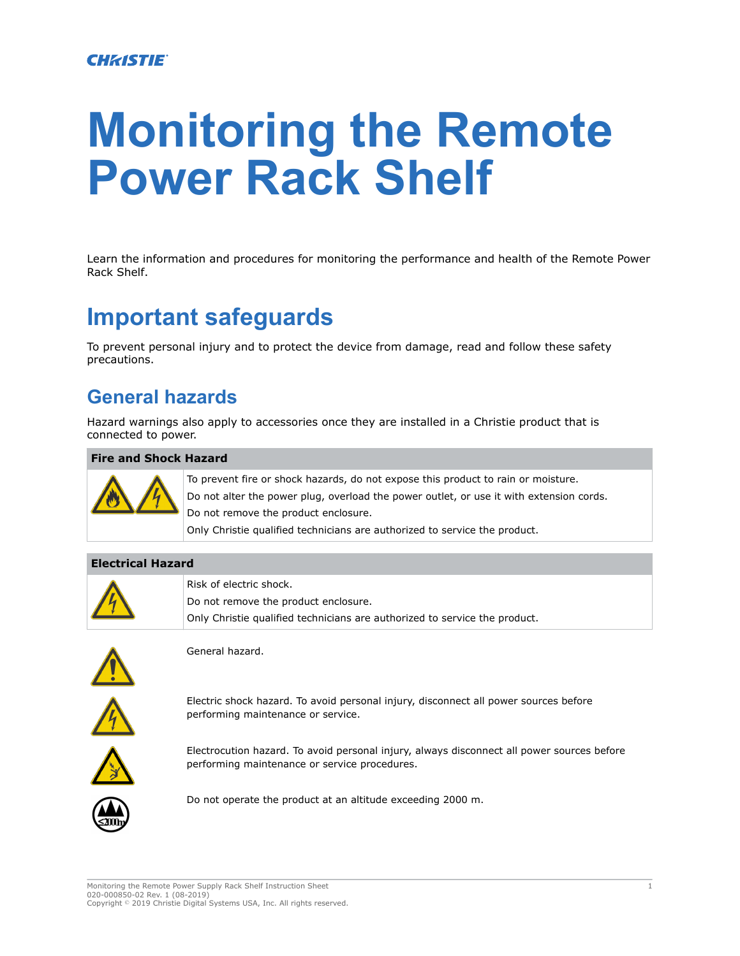#### **CHRISTIE®**

# **Monitoring the Remote Power Rack Shelf**

Learn the information and procedures for monitoring the performance and health of the Remote Power Rack Shelf.

# **Important safeguards**

To prevent personal injury and to protect the device from damage, read and follow these safety precautions.

#### **General hazards**

Hazard warnings also apply to accessories once they are installed in a Christie product that is connected to power.

#### **Fire and Shock Hazard**



To prevent fire or shock hazards, do not expose this product to rain or moisture. Do not alter the power plug, overload the power outlet, or use it with extension cords. Do not remove the product enclosure. Only Christie qualified technicians are authorized to service the product.

#### **Electrical Hazard**



Risk of electric shock. Do not remove the product enclosure. Only Christie qualified technicians are authorized to service the product.



General hazard.



Electric shock hazard. To avoid personal injury, disconnect all power sources before performing maintenance or service.



Electrocution hazard. To avoid personal injury, always disconnect all power sources before performing maintenance or service procedures.



Do not operate the product at an altitude exceeding 2000 m.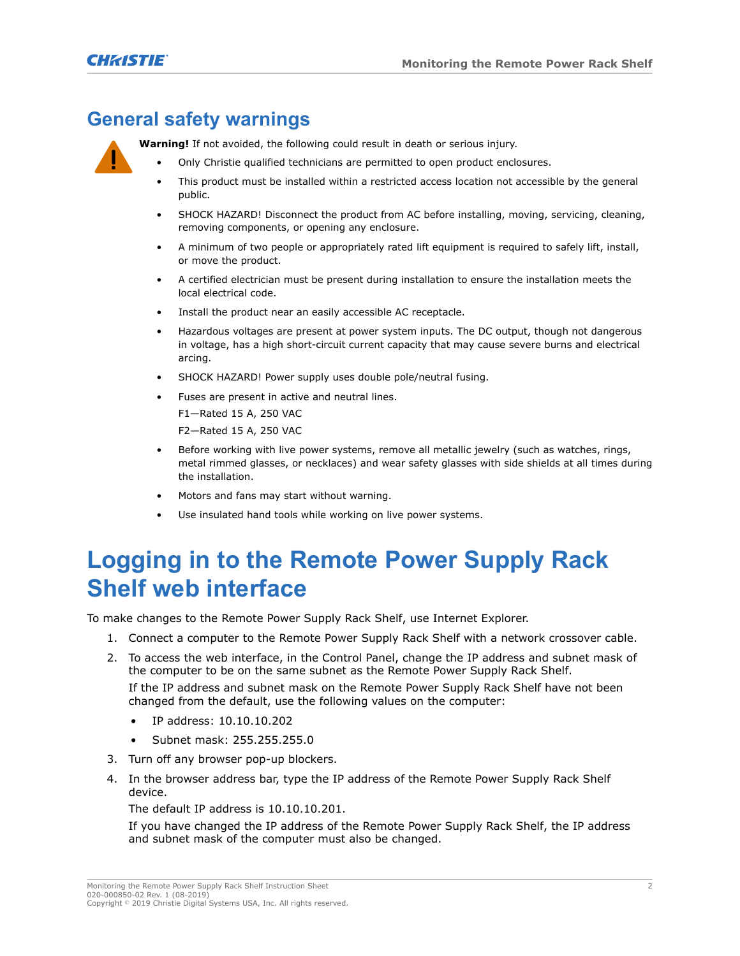### <span id="page-1-0"></span>**General safety warnings**

**Warning!** If not avoided, the following could result in death or serious injury.

- Only Christie qualified technicians are permitted to open product enclosures.
- This product must be installed within a restricted access location not accessible by the general public.
- SHOCK HAZARD! Disconnect the product from AC before installing, moving, servicing, cleaning, removing components, or opening any enclosure.
- A minimum of two people or appropriately rated lift equipment is required to safely lift, install, or move the product.
- A certified electrician must be present during installation to ensure the installation meets the local electrical code.
- Install the product near an easily accessible AC receptacle.
- Hazardous voltages are present at power system inputs. The DC output, though not dangerous in voltage, has a high short-circuit current capacity that may cause severe burns and electrical arcing.
- SHOCK HAZARD! Power supply uses double pole/neutral fusing.
- Fuses are present in active and neutral lines.
	- F1—Rated 15 A, 250 VAC
	- F2—Rated 15 A, 250 VAC
- Before working with live power systems, remove all metallic jewelry (such as watches, rings, metal rimmed glasses, or necklaces) and wear safety glasses with side shields at all times during the installation.
- Motors and fans may start without warning.
- Use insulated hand tools while working on live power systems.

# **Logging in to the Remote Power Supply Rack Shelf web interface**

To make changes to the Remote Power Supply Rack Shelf, use Internet Explorer.

- 1. Connect a computer to the Remote Power Supply Rack Shelf with a network crossover cable.
- 2. To access the web interface, in the Control Panel, change the IP address and subnet mask of the computer to be on the same subnet as the Remote Power Supply Rack Shelf.

If the IP address and subnet mask on the Remote Power Supply Rack Shelf have not been changed from the default, use the following values on the computer:

- IP address: 10.10.10.202
- Subnet mask: 255.255.255.0
- 3. Turn off any browser pop-up blockers.
- 4. In the browser address bar, type the IP address of the Remote Power Supply Rack Shelf device.

The default IP address is 10.10.10.201.

If you have changed the IP address of the Remote Power Supply Rack Shelf, the IP address and subnet mask of the computer must also be changed.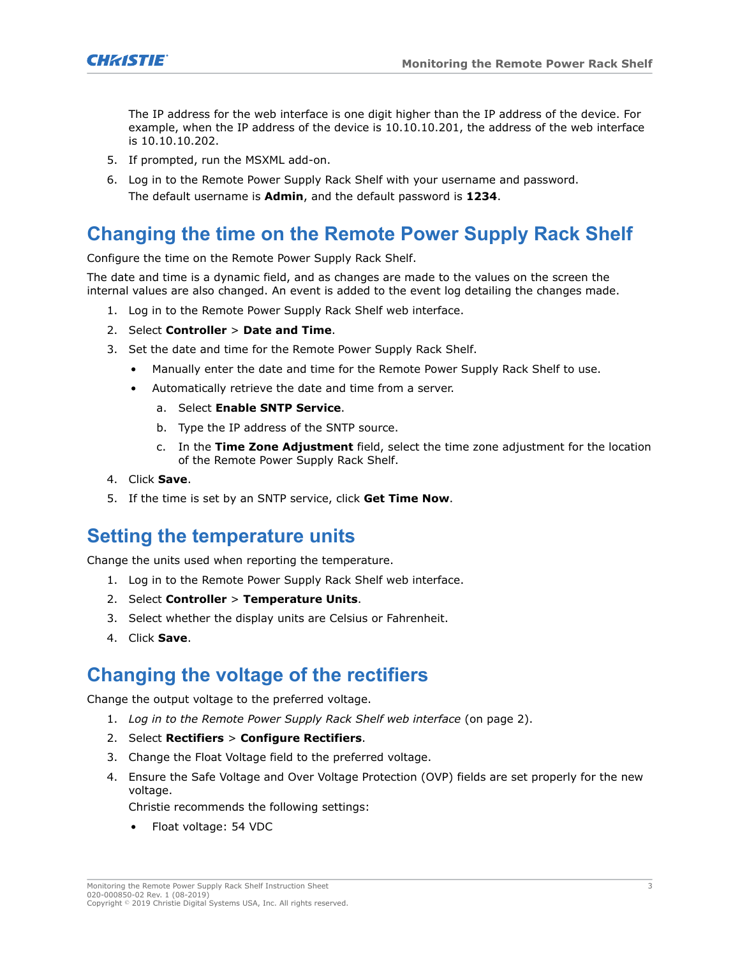

The IP address for the web interface is one digit higher than the IP address of the device. For example, when the IP address of the device is 10.10.10.201, the address of the web interface is 10.10.10.202.

- 5. If prompted, run the MSXML add-on.
- 6. Log in to the Remote Power Supply Rack Shelf with your username and password. The default username is **Admin**, and the default password is **1234**.

#### **Changing the time on the Remote Power Supply Rack Shelf**

Configure the time on the Remote Power Supply Rack Shelf.

The date and time is a dynamic field, and as changes are made to the values on the screen the internal values are also changed. An event is added to the event log detailing the changes made.

- 1. Log in to the Remote Power Supply Rack Shelf web interface.
- 2. Select **Controller** > **Date and Time**.
- 3. Set the date and time for the Remote Power Supply Rack Shelf.
	- Manually enter the date and time for the Remote Power Supply Rack Shelf to use.
	- Automatically retrieve the date and time from a server.
		- a. Select **Enable SNTP Service**.
		- b. Type the IP address of the SNTP source.
		- c. In the **Time Zone Adjustment** field, select the time zone adjustment for the location of the Remote Power Supply Rack Shelf.
- 4. Click **Save**.
- 5. If the time is set by an SNTP service, click **Get Time Now**.

#### **Setting the temperature units**

Change the units used when reporting the temperature.

- 1. Log in to the Remote Power Supply Rack Shelf web interface.
- 2. Select **Controller** > **Temperature Units**.
- 3. Select whether the display units are Celsius or Fahrenheit.
- 4. Click **Save**.

#### **Changing the voltage of the rectifiers**

Change the output voltage to the preferred voltage.

- 1. *[Log in to the Remote Power Supply Rack Shelf web interface](#page-1-0)* (on page 2).
- 2. Select **Rectifiers** > **Configure Rectifiers**.
- 3. Change the Float Voltage field to the preferred voltage.
- 4. Ensure the Safe Voltage and Over Voltage Protection (OVP) fields are set properly for the new voltage.

Christie recommends the following settings:

• Float voltage: 54 VDC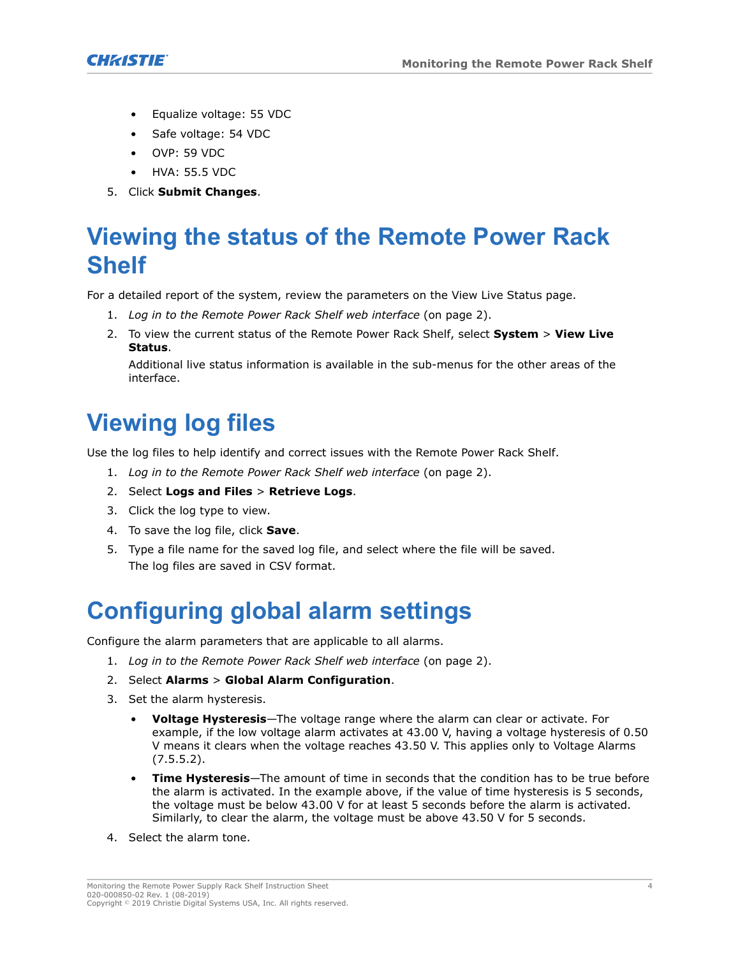

- Equalize voltage: 55 VDC
- Safe voltage: 54 VDC
- OVP: 59 VDC
- HVA: 55.5 VDC
- 5. Click **Submit Changes**.

# **Viewing the status of the Remote Power Rack Shelf**

For a detailed report of the system, review the parameters on the View Live Status page.

- 1. *[Log in to the Remote Power Rack Shelf web interface](#page-1-0)* (on page 2).
- 2. To view the current status of the Remote Power Rack Shelf, select **System** > **View Live Status**.

Additional live status information is available in the sub-menus for the other areas of the interface.

# **Viewing log files**

Use the log files to help identify and correct issues with the Remote Power Rack Shelf.

- 1. *[Log in to the Remote Power Rack Shelf web interface](#page-1-0)* (on page 2).
- 2. Select **Logs and Files** > **Retrieve Logs**.
- 3. Click the log type to view.
- 4. To save the log file, click **Save**.
- 5. Type a file name for the saved log file, and select where the file will be saved. The log files are saved in CSV format.

# **Configuring global alarm settings**

Configure the alarm parameters that are applicable to all alarms.

- 1. *[Log in to the Remote Power Rack Shelf web interface](#page-1-0)* (on page 2).
- 2. Select **Alarms** > **Global Alarm Configuration**.
- 3. Set the alarm hysteresis.
	- **Voltage Hysteresis**—The voltage range where the alarm can clear or activate. For example, if the low voltage alarm activates at 43.00 V, having a voltage hysteresis of 0.50 V means it clears when the voltage reaches 43.50 V. This applies only to Voltage Alarms (7.5.5.2).
	- **Time Hysteresis**—The amount of time in seconds that the condition has to be true before the alarm is activated. In the example above, if the value of time hysteresis is 5 seconds, the voltage must be below 43.00 V for at least 5 seconds before the alarm is activated. Similarly, to clear the alarm, the voltage must be above 43.50 V for 5 seconds.
- 4. Select the alarm tone.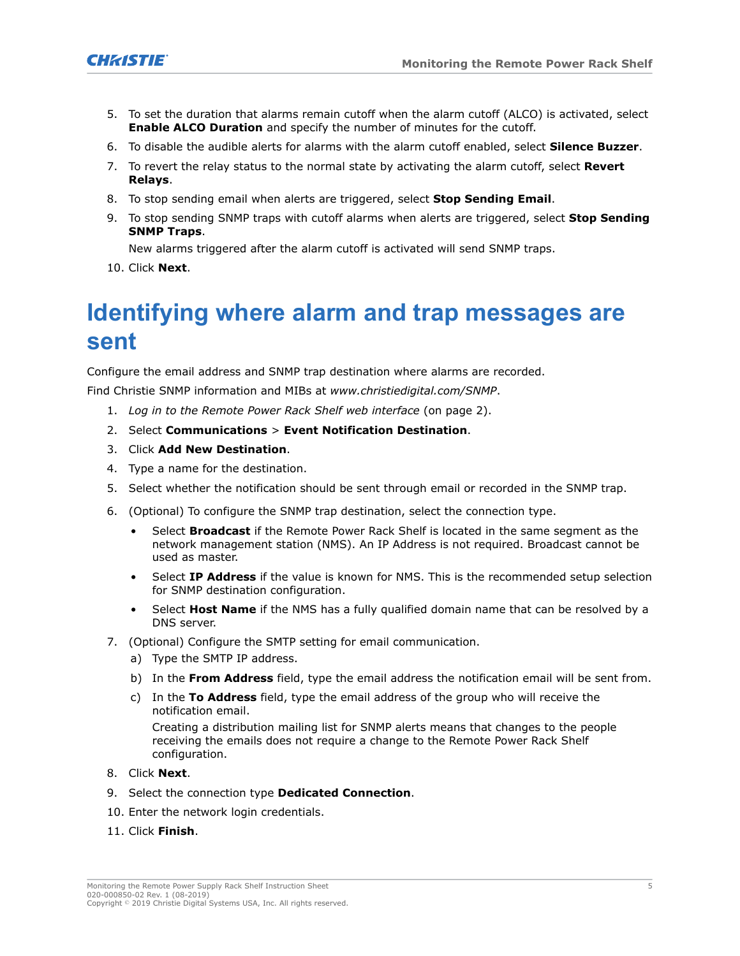

- 5. To set the duration that alarms remain cutoff when the alarm cutoff (ALCO) is activated, select **Enable ALCO Duration** and specify the number of minutes for the cutoff.
- 6. To disable the audible alerts for alarms with the alarm cutoff enabled, select **Silence Buzzer**.
- 7. To revert the relay status to the normal state by activating the alarm cutoff, select **Revert Relays**.
- 8. To stop sending email when alerts are triggered, select **Stop Sending Email**.
- 9. To stop sending SNMP traps with cutoff alarms when alerts are triggered, select **Stop Sending SNMP Traps**.

New alarms triggered after the alarm cutoff is activated will send SNMP traps.

10. Click **Next**.

# **Identifying where alarm and trap messages are sent**

Configure the email address and SNMP trap destination where alarms are recorded.

Find Christie SNMP information and MIBs at *www.christiedigital.com/SNMP*.

- 1. *[Log in to the Remote Power Rack Shelf web interface](#page-1-0)* (on page 2).
- 2. Select **Communications** > **Event Notification Destination**.
- 3. Click **Add New Destination**.
- 4. Type a name for the destination.
- 5. Select whether the notification should be sent through email or recorded in the SNMP trap.
- 6. (Optional) To configure the SNMP trap destination, select the connection type.
	- Select **Broadcast** if the Remote Power Rack Shelf is located in the same segment as the network management station (NMS). An IP Address is not required. Broadcast cannot be used as master.
	- Select **IP Address** if the value is known for NMS. This is the recommended setup selection for SNMP destination configuration.
	- Select **Host Name** if the NMS has a fully qualified domain name that can be resolved by a DNS server.
- 7. (Optional) Configure the SMTP setting for email communication.
	- a) Type the SMTP IP address.
	- b) In the **From Address** field, type the email address the notification email will be sent from.
	- c) In the **To Address** field, type the email address of the group who will receive the notification email.

Creating a distribution mailing list for SNMP alerts means that changes to the people receiving the emails does not require a change to the Remote Power Rack Shelf configuration.

- 8. Click **Next**.
- 9. Select the connection type **Dedicated Connection**.
- 10. Enter the network login credentials.
- 11. Click **Finish**.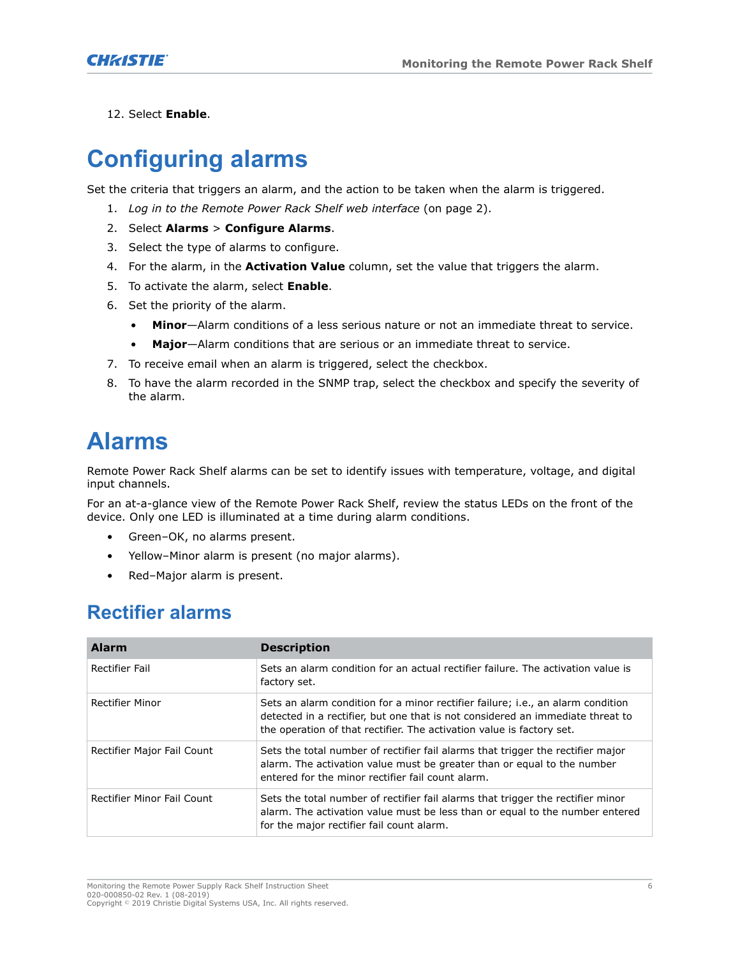

12. Select **Enable**.

# **Configuring alarms**

Set the criteria that triggers an alarm, and the action to be taken when the alarm is triggered.

- 1. *[Log in to the Remote Power Rack Shelf web interface](#page-1-0)* (on page 2).
- 2. Select **Alarms** > **Configure Alarms**.
- 3. Select the type of alarms to configure.
- 4. For the alarm, in the **Activation Value** column, set the value that triggers the alarm.
- 5. To activate the alarm, select **Enable**.
- 6. Set the priority of the alarm.
	- **Minor**—Alarm conditions of a less serious nature or not an immediate threat to service.
	- **Major**—Alarm conditions that are serious or an immediate threat to service.
- 7. To receive email when an alarm is triggered, select the checkbox.
- 8. To have the alarm recorded in the SNMP trap, select the checkbox and specify the severity of the alarm.

# **Alarms**

Remote Power Rack Shelf alarms can be set to identify issues with temperature, voltage, and digital input channels.

For an at-a-glance view of the Remote Power Rack Shelf, review the status LEDs on the front of the device. Only one LED is illuminated at a time during alarm conditions.

- Green–OK, no alarms present.
- Yellow–Minor alarm is present (no major alarms).
- Red–Major alarm is present.

### **Rectifier alarms**

| <b>Alarm</b>               | <b>Description</b>                                                                                                                                                                                                                         |
|----------------------------|--------------------------------------------------------------------------------------------------------------------------------------------------------------------------------------------------------------------------------------------|
| Rectifier Fail             | Sets an alarm condition for an actual rectifier failure. The activation value is<br>factory set.                                                                                                                                           |
| Rectifier Minor            | Sets an alarm condition for a minor rectifier failure; i.e., an alarm condition<br>detected in a rectifier, but one that is not considered an immediate threat to<br>the operation of that rectifier. The activation value is factory set. |
| Rectifier Major Fail Count | Sets the total number of rectifier fail alarms that trigger the rectifier major<br>alarm. The activation value must be greater than or equal to the number<br>entered for the minor rectifier fail count alarm.                            |
| Rectifier Minor Fail Count | Sets the total number of rectifier fail alarms that trigger the rectifier minor<br>alarm. The activation value must be less than or equal to the number entered<br>for the major rectifier fail count alarm.                               |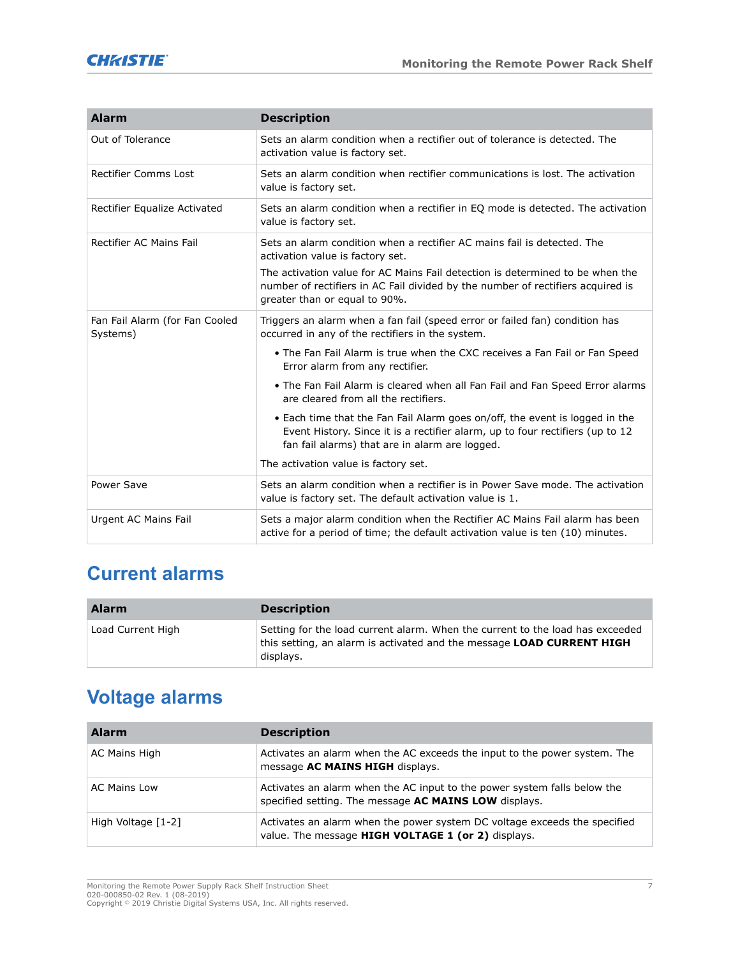

| <b>Alarm</b>                               | <b>Description</b>                                                                                                                                                                                                                                                                                               |
|--------------------------------------------|------------------------------------------------------------------------------------------------------------------------------------------------------------------------------------------------------------------------------------------------------------------------------------------------------------------|
| Out of Tolerance                           | Sets an alarm condition when a rectifier out of tolerance is detected. The<br>activation value is factory set.                                                                                                                                                                                                   |
| <b>Rectifier Comms Lost</b>                | Sets an alarm condition when rectifier communications is lost. The activation<br>value is factory set.                                                                                                                                                                                                           |
| Rectifier Equalize Activated               | Sets an alarm condition when a rectifier in EQ mode is detected. The activation<br>value is factory set.                                                                                                                                                                                                         |
| <b>Rectifier AC Mains Fail</b>             | Sets an alarm condition when a rectifier AC mains fail is detected. The<br>activation value is factory set.<br>The activation value for AC Mains Fail detection is determined to be when the<br>number of rectifiers in AC Fail divided by the number of rectifiers acquired is<br>greater than or equal to 90%. |
| Fan Fail Alarm (for Fan Cooled<br>Systems) | Triggers an alarm when a fan fail (speed error or failed fan) condition has<br>occurred in any of the rectifiers in the system.                                                                                                                                                                                  |
|                                            | . The Fan Fail Alarm is true when the CXC receives a Fan Fail or Fan Speed<br>Error alarm from any rectifier.                                                                                                                                                                                                    |
|                                            | • The Fan Fail Alarm is cleared when all Fan Fail and Fan Speed Error alarms<br>are cleared from all the rectifiers.                                                                                                                                                                                             |
|                                            | • Each time that the Fan Fail Alarm goes on/off, the event is logged in the<br>Event History. Since it is a rectifier alarm, up to four rectifiers (up to 12<br>fan fail alarms) that are in alarm are logged.                                                                                                   |
|                                            | The activation value is factory set.                                                                                                                                                                                                                                                                             |
| Power Save                                 | Sets an alarm condition when a rectifier is in Power Save mode. The activation<br>value is factory set. The default activation value is 1.                                                                                                                                                                       |
| Urgent AC Mains Fail                       | Sets a major alarm condition when the Rectifier AC Mains Fail alarm has been<br>active for a period of time; the default activation value is ten (10) minutes.                                                                                                                                                   |

### **Current alarms**

| <b>Alarm</b>      | <b>Description</b>                                                                                                                                                         |
|-------------------|----------------------------------------------------------------------------------------------------------------------------------------------------------------------------|
| Load Current High | Setting for the load current alarm. When the current to the load has exceeded<br>this setting, an alarm is activated and the message <b>LOAD CURRENT HIGH</b><br>displays. |

## **Voltage alarms**

| <b>Alarm</b>        | <b>Description</b>                                                                                                                |
|---------------------|-----------------------------------------------------------------------------------------------------------------------------------|
| AC Mains High       | Activates an alarm when the AC exceeds the input to the power system. The<br>message AC MAINS HIGH displays.                      |
| <b>AC Mains Low</b> | Activates an alarm when the AC input to the power system falls below the<br>specified setting. The message AC MAINS LOW displays. |
| High Voltage [1-2]  | Activates an alarm when the power system DC voltage exceeds the specified<br>value. The message HIGH VOLTAGE 1 (or 2) displays.   |